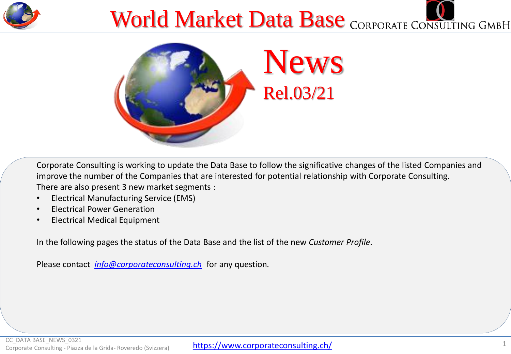

## World Market Data Base CORPORATE CONSULTING GMBH



Corporate Consulting is working to update the Data Base to follow the significative changes of the listed Companies and improve the number of the Companies that are interested for potential relationship with Corporate Consulting. There are also present 3 new market segments :

- Electrical Manufacturing Service (EMS)
- Electrical Power Generation
- Electrical Medical Equipment

In the following pages the status of the Data Base and the list of the new *Customer Profile*.

Please contact *[info@corporateconsulting.ch](mailto:info@corporateconsulting.ch)* for any question*.*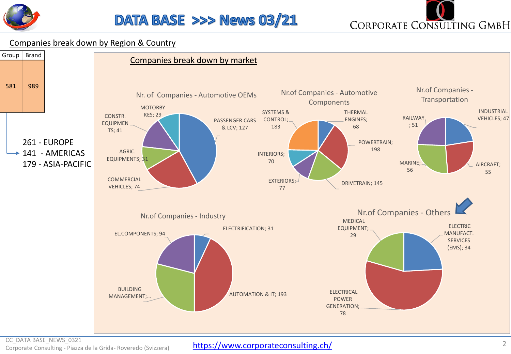



## Companies break down by Region & Country



CC\_DATA BASE\_NEWS\_0321 CC\_DATA DASE\_NEWS\_OS21<br>Corporate Consulting - Piazza de la Grida- Roveredo (Svizzera) **<https://www.corporateconsulting.ch/>**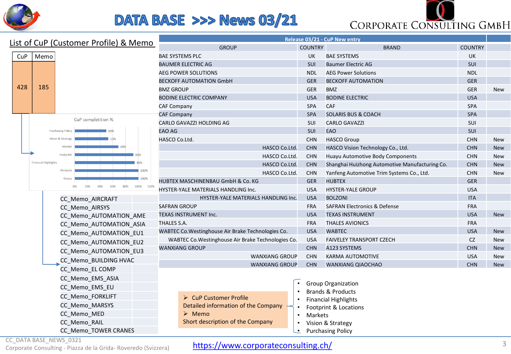

## DATA BASE >>> News 03/21

CORPORATE CONSULTING GMBH

| List of CuP (Customer Profile) & Memo |                                    |                                                |                                                    | Release 03/21 - CuP New entry       |                                       |                   |                                                |                |            |  |  |  |  |
|---------------------------------------|------------------------------------|------------------------------------------------|----------------------------------------------------|-------------------------------------|---------------------------------------|-------------------|------------------------------------------------|----------------|------------|--|--|--|--|
|                                       |                                    |                                                |                                                    | <b>GROUP</b>                        |                                       | <b>COUNTRY</b>    | <b>BRAND</b>                                   | <b>COUNTRY</b> |            |  |  |  |  |
| CuP                                   | Memo                               |                                                |                                                    | <b>BAE SYSTEMS PLC</b>              |                                       | <b>UK</b>         | <b>BAE SYSTEMS</b>                             | <b>UK</b>      |            |  |  |  |  |
|                                       |                                    |                                                | <b>BAUMER ELECTRIC AG</b>                          |                                     |                                       | SUI               | <b>Baumer Electric AG</b>                      | SUI            |            |  |  |  |  |
|                                       |                                    |                                                | AEG POWER SOLUTIONS                                |                                     |                                       | <b>NDL</b>        | <b>AEG Power Solutions</b>                     | <b>NDL</b>     |            |  |  |  |  |
|                                       |                                    |                                                | <b>BECKOFF AUTOMATION GmbH</b>                     |                                     |                                       | <b>GER</b>        | <b>BECKOFF AUTOMATION</b>                      | <b>GER</b>     |            |  |  |  |  |
| 428                                   | 185                                |                                                | <b>BMZ GROUP</b>                                   |                                     |                                       | <b>GER</b>        | <b>BMZ</b>                                     | <b>GER</b>     | <b>New</b> |  |  |  |  |
|                                       |                                    |                                                |                                                    | <b>BODINE ELECTRIC COMPANY</b>      |                                       | <b>USA</b>        | <b>BODINE ELECTRIC</b>                         | <b>USA</b>     |            |  |  |  |  |
|                                       |                                    |                                                |                                                    | <b>CAF Company</b>                  |                                       |                   | <b>CAF</b>                                     | <b>SPA</b>     |            |  |  |  |  |
|                                       |                                    |                                                | <b>CAF Company</b>                                 |                                     |                                       | SPA               | <b>SOLARIS BUS &amp; COACH</b>                 | SPA            |            |  |  |  |  |
|                                       | CuP completition %                 |                                                |                                                    | CARLO GAVAZZI HOLDING AG            |                                       |                   | <b>CARLO GAVAZZI</b>                           | SUI            |            |  |  |  |  |
|                                       |                                    | Purchasing Policy                              | <b>EAO AG</b>                                      |                                     |                                       | SUI               | <b>EAO</b>                                     | SUI            |            |  |  |  |  |
|                                       |                                    | Vision & Strategy                              | HASCO Co.Ltd.                                      |                                     |                                       | <b>CHN</b>        | <b>HASCO Group</b>                             | <b>CHN</b>     | <b>New</b> |  |  |  |  |
|                                       |                                    | Market                                         | <b>HASCO Co.Ltd</b>                                |                                     |                                       | <b>CHN</b>        | HASCO Vision Technology Co., Ltd.              | <b>CHN</b>     | <b>New</b> |  |  |  |  |
|                                       |                                    | Footprint                                      | HASCO Co.Ltd                                       |                                     |                                       | <b>CHN</b>        | Huayu Automotive Body Components               | CHN            | New        |  |  |  |  |
|                                       | <b>Financial Highlights</b>        |                                                | HASCO Co.Ltd                                       |                                     |                                       | <b>CHN</b>        | Shanghai Huizhong Automotive Manufacturing Co. | <b>CHN</b>     | <b>New</b> |  |  |  |  |
|                                       |                                    | Products                                       | HASCO Co.Ltd                                       |                                     |                                       | <b>CHN</b>        | Yanfeng Automotive Trim Systems Co., Ltd.      | <b>CHN</b>     | <b>New</b> |  |  |  |  |
|                                       |                                    | Groun<br>20%<br>40%<br>60%<br>80%<br>100% 120% | HUBTEX MASCHINENBAU GmbH & Co. KG                  |                                     |                                       | <b>GER</b>        | <b>HUBTEX</b>                                  | <b>GER</b>     |            |  |  |  |  |
|                                       |                                    | 0%                                             | HYSTER-YALE MATERIALS HANDLING Inc.                |                                     |                                       | <b>USA</b>        | <b>HYSTER-YALE GROUP</b>                       | <b>USA</b>     |            |  |  |  |  |
|                                       |                                    | CC_Memo_AIRCRAFT                               |                                                    | HYSTER-YALE MATERIALS HANDLING Inc. |                                       | <b>USA</b>        | <b>BOLZONI</b>                                 | <b>ITA</b>     |            |  |  |  |  |
|                                       |                                    | CC Memo AIRSYS                                 | <b>SAFRAN GROUP</b>                                |                                     |                                       | <b>FRA</b>        | <b>SAFRAN Electronics &amp; Defense</b>        | <b>FRA</b>     |            |  |  |  |  |
|                                       |                                    | CC_Memo_AUTOMATION_AME                         | TEXAS INSTRUMENT Inc.                              |                                     |                                       | <b>USA</b>        | <b>TEXAS INSTRUMENT</b>                        | <b>USA</b>     | <b>New</b> |  |  |  |  |
|                                       |                                    | CC_Memo_AUTOMATION_ASIA                        | THALES S.A.                                        |                                     |                                       | <b>FRA</b>        | <b>THALES AVIONICS</b>                         | <b>FRA</b>     |            |  |  |  |  |
|                                       |                                    | CC_Memo_AUTOMATION_EU1                         | WABTEC Co. Westinghouse Air Brake Technologies Co. |                                     |                                       | <b>USA</b>        | <b>WABTEC</b>                                  | <b>USA</b>     | <b>New</b> |  |  |  |  |
|                                       |                                    | CC_Memo_AUTOMATION_EU2                         | WABTEC Co. Westinghouse Air Brake Technologies Co. |                                     |                                       | <b>USA</b>        | <b>FAIVELEY TRANSPORT CZECH</b>                | CZ             | <b>New</b> |  |  |  |  |
|                                       | CC Memo AUTOMATION EU3             |                                                |                                                    | <b>WANXIANG GROUP</b>               |                                       |                   | A123 SYSTEMS                                   | <b>CHN</b>     | <b>New</b> |  |  |  |  |
|                                       |                                    | CC_Memo_BUILDING HVAC                          | <b>WANXIANG GROUP</b>                              |                                     |                                       | <b>CHN</b>        | KARMA AUTOMOTIVE                               | <b>USA</b>     | <b>New</b> |  |  |  |  |
|                                       |                                    | CC Memo EL COMP                                | <b>WANXIANG GROUP</b>                              |                                     |                                       | <b>CHN</b>        | <b>WANXIANG QIAOCHAO</b>                       | <b>CHN</b>     | <b>New</b> |  |  |  |  |
|                                       |                                    | CC_Memo_EMS_ASIA                               |                                                    |                                     |                                       |                   |                                                |                |            |  |  |  |  |
|                                       | CC_Memo_EMS_EU<br>CC_Memo_FORKLIFT |                                                |                                                    | > CuP Customer Profile              |                                       |                   | <b>Group Organization</b>                      |                |            |  |  |  |  |
|                                       |                                    |                                                |                                                    |                                     |                                       |                   | <b>Brands &amp; Products</b>                   |                |            |  |  |  |  |
|                                       |                                    |                                                |                                                    |                                     |                                       |                   | <b>Financial Highlights</b>                    |                |            |  |  |  |  |
|                                       | CC Memo MARSYS                     |                                                |                                                    | Detailed information of the Company |                                       |                   | Footprint & Locations                          |                |            |  |  |  |  |
|                                       | CC_Memo_MED                        |                                                |                                                    | $\triangleright$ Memo<br>$\bullet$  |                                       |                   | Markets                                        |                |            |  |  |  |  |
|                                       |                                    | CC_Memo_RAIL                                   | Short description of the Company                   |                                     |                                       | Vision & Strategy |                                                |                |            |  |  |  |  |
|                                       |                                    | CC Memo TOWER CRANES                           |                                                    |                                     | <b>Purchasing Policy</b><br>$\bullet$ |                   |                                                |                |            |  |  |  |  |

CC\_DATA BASE\_NEWS\_0321

CC\_DATA DASE\_NEWS\_OS21<br>Corporate Consulting - Piazza de la Grida- Roveredo (Svizzera) **<https://www.corporateconsulting.ch/>** 3